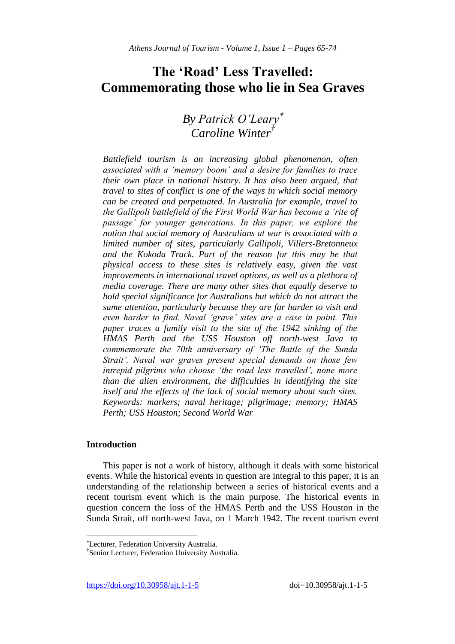# **The 'Road' Less Travelled: Commemorating those who lie in Sea Graves**

# *By Patrick O'Leary Caroline Winter†*

*Battlefield tourism is an increasing global phenomenon, often associated with a 'memory boom' and a desire for families to trace their own place in national history. It has also been argued, that travel to sites of conflict is one of the ways in which social memory can be created and perpetuated. In Australia for example, travel to the Gallipoli battlefield of the First World War has become a 'rite of passage' for younger generations. In this paper, we explore the notion that social memory of Australians at war is associated with a limited number of sites, particularly Gallipoli, Villers-Bretonneux and the Kokoda Track. Part of the reason for this may be that physical access to these sites is relatively easy, given the vast improvements in international travel options, as well as a plethora of media coverage. There are many other sites that equally deserve to hold special significance for Australians but which do not attract the same attention, particularly because they are far harder to visit and even harder to find. Naval 'grave' sites are a case in point. This paper traces a family visit to the site of the 1942 sinking of the HMAS Perth and the USS Houston off north-west Java to commemorate the 70th anniversary of 'The Battle of the Sunda Strait'. Naval war graves present special demands on those few intrepid pilgrims who choose 'the road less travelled', none more than the alien environment, the difficulties in identifying the site itself and the effects of the lack of social memory about such sites. Keywords: markers; naval heritage; pilgrimage; memory; HMAS Perth; USS Houston; Second World War*

# **Introduction**

 $\overline{\phantom{a}}$ 

This paper is not a work of history, although it deals with some historical events. While the historical events in question are integral to this paper, it is an understanding of the relationship between a series of historical events and a recent tourism event which is the main purpose. The historical events in question concern the loss of the HMAS Perth and the USS Houston in the Sunda Strait, off north-west Java, on 1 March 1942. The recent tourism event

Lecturer, Federation University Australia.

<sup>†</sup> Senior Lecturer, Federation University Australia.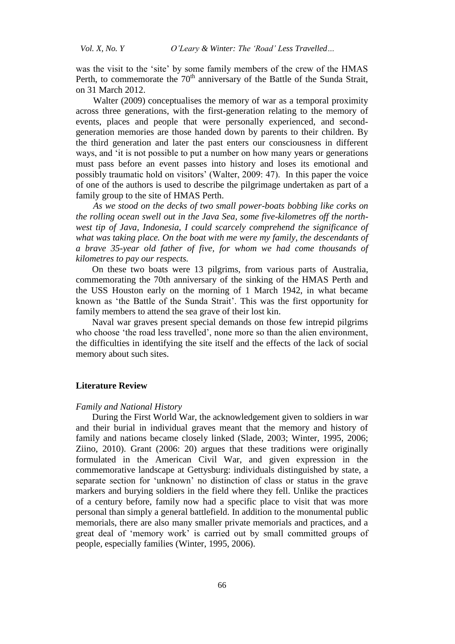was the visit to the 'site' by some family members of the crew of the HMAS Perth, to commemorate the  $70<sup>th</sup>$  anniversary of the Battle of the Sunda Strait, on 31 March 2012.

Walter (2009) conceptualises the memory of war as a temporal proximity across three generations, with the first-generation relating to the memory of events, places and people that were personally experienced, and secondgeneration memories are those handed down by parents to their children. By the third generation and later the past enters our consciousness in different ways, and 'it is not possible to put a number on how many years or generations must pass before an event passes into history and loses its emotional and possibly traumatic hold on visitors' (Walter, 2009: 47). In this paper the voice of one of the authors is used to describe the pilgrimage undertaken as part of a family group to the site of HMAS Perth.

*As we stood on the decks of two small power-boats bobbing like corks on the rolling ocean swell out in the Java Sea, some five-kilometres off the northwest tip of Java, Indonesia, I could scarcely comprehend the significance of what was taking place. On the boat with me were my family, the descendants of a brave 35-year old father of five, for whom we had come thousands of kilometres to pay our respects.* 

On these two boats were 13 pilgrims, from various parts of Australia, commemorating the 70th anniversary of the sinking of the HMAS Perth and the USS Houston early on the morning of 1 March 1942, in what became known as 'the Battle of the Sunda Strait'. This was the first opportunity for family members to attend the sea grave of their lost kin.

Naval war graves present special demands on those few intrepid pilgrims who choose 'the road less travelled', none more so than the alien environment, the difficulties in identifying the site itself and the effects of the lack of social memory about such sites.

## **Literature Review**

# *Family and National History*

During the First World War, the acknowledgement given to soldiers in war and their burial in individual graves meant that the memory and history of family and nations became closely linked (Slade, 2003; Winter, 1995, 2006; Ziino, 2010). Grant (2006: 20) argues that these traditions were originally formulated in the American Civil War, and given expression in the commemorative landscape at Gettysburg: individuals distinguished by state, a separate section for 'unknown' no distinction of class or status in the grave markers and burying soldiers in the field where they fell. Unlike the practices of a century before, family now had a specific place to visit that was more personal than simply a general battlefield. In addition to the monumental public memorials, there are also many smaller private memorials and practices, and a great deal of 'memory work' is carried out by small committed groups of people, especially families (Winter, 1995, 2006).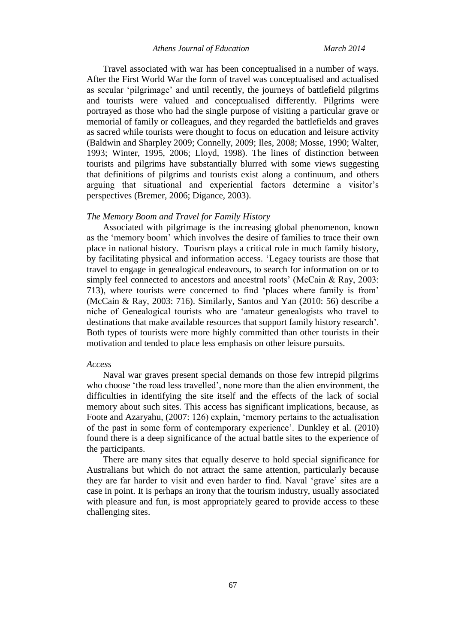#### *Athens Journal of Education March 2014*

Travel associated with war has been conceptualised in a number of ways. After the First World War the form of travel was conceptualised and actualised as secular 'pilgrimage' and until recently, the journeys of battlefield pilgrims and tourists were valued and conceptualised differently. Pilgrims were portrayed as those who had the single purpose of visiting a particular grave or memorial of family or colleagues, and they regarded the battlefields and graves as sacred while tourists were thought to focus on education and leisure activity (Baldwin and Sharpley 2009; Connelly, 2009; Iles, 2008; Mosse, 1990; Walter, 1993; Winter, 1995, 2006; Lloyd, 1998). The lines of distinction between tourists and pilgrims have substantially blurred with some views suggesting that definitions of pilgrims and tourists exist along a continuum, and others arguing that situational and experiential factors determine a visitor's perspectives (Bremer, 2006; Digance, 2003).

# *The Memory Boom and Travel for Family History*

Associated with pilgrimage is the increasing global phenomenon, known as the 'memory boom' which involves the desire of families to trace their own place in national history. Tourism plays a critical role in much family history, by facilitating physical and information access. 'Legacy tourists are those that travel to engage in genealogical endeavours, to search for information on or to simply feel connected to ancestors and ancestral roots' (McCain & Ray, 2003: 713), where tourists were concerned to find 'places where family is from' (McCain & Ray, 2003: 716). Similarly, Santos and Yan (2010: 56) describe a niche of Genealogical tourists who are 'amateur genealogists who travel to destinations that make available resources that support family history research'. Both types of tourists were more highly committed than other tourists in their motivation and tended to place less emphasis on other leisure pursuits.

#### *Access*

Naval war graves present special demands on those few intrepid pilgrims who choose 'the road less travelled', none more than the alien environment, the difficulties in identifying the site itself and the effects of the lack of social memory about such sites. This access has significant implications, because, as Foote and Azaryahu, (2007: 126) explain, 'memory pertains to the actualisation of the past in some form of contemporary experience'. Dunkley et al. (2010) found there is a deep significance of the actual battle sites to the experience of the participants.

There are many sites that equally deserve to hold special significance for Australians but which do not attract the same attention, particularly because they are far harder to visit and even harder to find. Naval 'grave' sites are a case in point. It is perhaps an irony that the tourism industry, usually associated with pleasure and fun, is most appropriately geared to provide access to these challenging sites.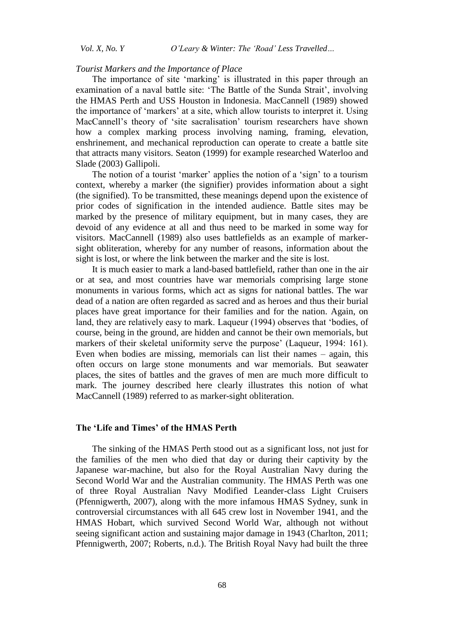*Vol. X, No. Y O'Leary & Winter: The 'Road' Less Travelled…*

#### *Tourist Markers and the Importance of Place*

The importance of site 'marking' is illustrated in this paper through an examination of a naval battle site: 'The Battle of the Sunda Strait', involving the HMAS Perth and USS Houston in Indonesia. MacCannell (1989) showed the importance of 'markers' at a site, which allow tourists to interpret it. Using MacCannell's theory of 'site sacralisation' tourism researchers have shown how a complex marking process involving naming, framing, elevation, enshrinement, and mechanical reproduction can operate to create a battle site that attracts many visitors. Seaton (1999) for example researched Waterloo and Slade (2003) Gallipoli.

The notion of a tourist 'marker' applies the notion of a 'sign' to a tourism context, whereby a marker (the signifier) provides information about a sight (the signified). To be transmitted, these meanings depend upon the existence of prior codes of signification in the intended audience. Battle sites may be marked by the presence of military equipment, but in many cases, they are devoid of any evidence at all and thus need to be marked in some way for visitors. MacCannell (1989) also uses battlefields as an example of markersight obliteration, whereby for any number of reasons, information about the sight is lost, or where the link between the marker and the site is lost.

It is much easier to mark a land-based battlefield, rather than one in the air or at sea, and most countries have war memorials comprising large stone monuments in various forms, which act as signs for national battles. The war dead of a nation are often regarded as sacred and as heroes and thus their burial places have great importance for their families and for the nation. Again, on land, they are relatively easy to mark. Laqueur (1994) observes that 'bodies, of course, being in the ground, are hidden and cannot be their own memorials, but markers of their skeletal uniformity serve the purpose' (Laqueur, 1994: 161). Even when bodies are missing, memorials can list their names – again, this often occurs on large stone monuments and war memorials. But seawater places, the sites of battles and the graves of men are much more difficult to mark. The journey described here clearly illustrates this notion of what MacCannell (1989) referred to as marker-sight obliteration.

# **The 'Life and Times' of the HMAS Perth**

The sinking of the HMAS Perth stood out as a significant loss, not just for the families of the men who died that day or during their captivity by the Japanese war-machine, but also for the Royal Australian Navy during the Second World War and the Australian community. The HMAS Perth was one of three Royal Australian Navy Modified Leander-class Light Cruisers (Pfennigwerth, 2007), along with the more infamous HMAS Sydney, sunk in controversial circumstances with all 645 crew lost in November 1941, and the HMAS Hobart, which survived Second World War, although not without seeing significant action and sustaining major damage in 1943 (Charlton, 2011; Pfennigwerth, 2007; Roberts, n.d.). The British Royal Navy had built the three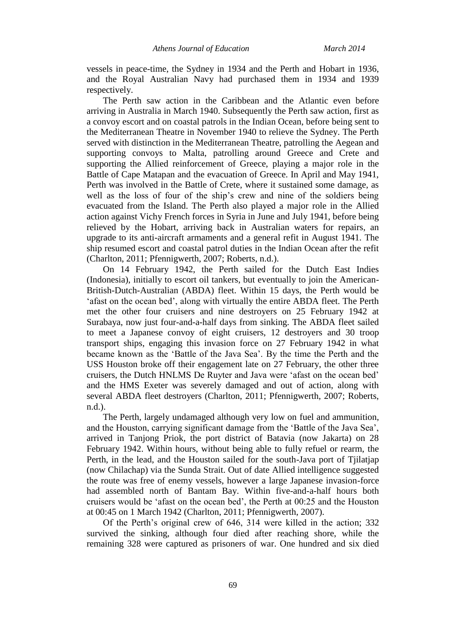vessels in peace-time, the Sydney in 1934 and the Perth and Hobart in 1936, and the Royal Australian Navy had purchased them in 1934 and 1939 respectively.

The Perth saw action in the Caribbean and the Atlantic even before arriving in Australia in March 1940. Subsequently the Perth saw action, first as a convoy escort and on coastal patrols in the Indian Ocean, before being sent to the Mediterranean Theatre in November 1940 to relieve the Sydney. The Perth served with distinction in the Mediterranean Theatre, patrolling the Aegean and supporting convoys to Malta, patrolling around Greece and Crete and supporting the Allied reinforcement of Greece, playing a major role in the Battle of Cape Matapan and the evacuation of Greece. In April and May 1941, Perth was involved in the Battle of Crete, where it sustained some damage, as well as the loss of four of the ship's crew and nine of the soldiers being evacuated from the Island. The Perth also played a major role in the Allied action against Vichy French forces in Syria in June and July 1941, before being relieved by the Hobart, arriving back in Australian waters for repairs, an upgrade to its anti-aircraft armaments and a general refit in August 1941. The ship resumed escort and coastal patrol duties in the Indian Ocean after the refit (Charlton, 2011; Pfennigwerth, 2007; Roberts, n.d.).

On 14 February 1942, the Perth sailed for the Dutch East Indies (Indonesia), initially to escort oil tankers, but eventually to join the American-British-Dutch-Australian (ABDA) fleet. Within 15 days, the Perth would be 'afast on the ocean bed', along with virtually the entire ABDA fleet. The Perth met the other four cruisers and nine destroyers on 25 February 1942 at Surabaya, now just four-and-a-half days from sinking. The ABDA fleet sailed to meet a Japanese convoy of eight cruisers, 12 destroyers and 30 troop transport ships, engaging this invasion force on 27 February 1942 in what became known as the 'Battle of the Java Sea'. By the time the Perth and the USS Houston broke off their engagement late on 27 February, the other three cruisers, the Dutch HNLMS De Ruyter and Java were 'afast on the ocean bed' and the HMS Exeter was severely damaged and out of action, along with several ABDA fleet destroyers (Charlton, 2011; Pfennigwerth, 2007; Roberts, n.d.).

The Perth, largely undamaged although very low on fuel and ammunition, and the Houston, carrying significant damage from the 'Battle of the Java Sea', arrived in Tanjong Priok, the port district of Batavia (now Jakarta) on 28 February 1942. Within hours, without being able to fully refuel or rearm, the Perth, in the lead, and the Houston sailed for the south-Java port of Tjilatjap (now Chilachap) via the Sunda Strait. Out of date Allied intelligence suggested the route was free of enemy vessels, however a large Japanese invasion-force had assembled north of Bantam Bay. Within five-and-a-half hours both cruisers would be 'afast on the ocean bed', the Perth at 00:25 and the Houston at 00:45 on 1 March 1942 (Charlton, 2011; Pfennigwerth, 2007).

Of the Perth's original crew of 646, 314 were killed in the action; 332 survived the sinking, although four died after reaching shore, while the remaining 328 were captured as [prisoners of war.](http://en.wikipedia.org/wiki/Prisoners_of_war) One hundred and six died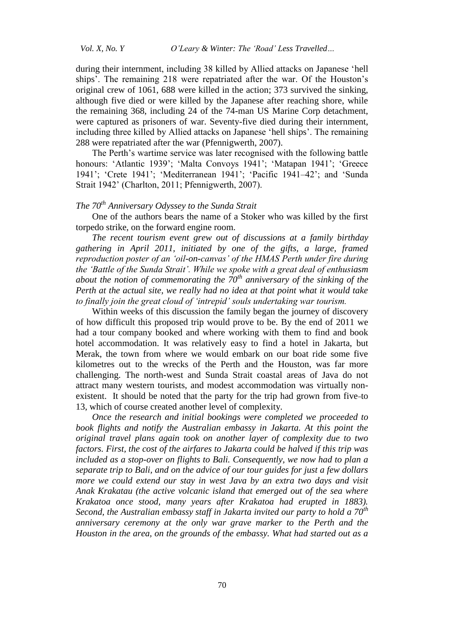*Vol. X, No. Y O'Leary & Winter: The 'Road' Less Travelled…*

during their internment, including 38 killed by Allied attacks on Japanese ['hell](http://en.wikipedia.org/wiki/Hell_ship)  [ships'](http://en.wikipedia.org/wiki/Hell_ship). The remaining 218 were repatriated after the war. Of the Houston's original crew of 1061, 688 were killed in the action; 373 survived the sinking, although five died or were killed by the Japanese after reaching shore, while the remaining 368, including 24 of the 74-man US Marine Corp detachment, were captured as [prisoners of war.](http://en.wikipedia.org/wiki/Prisoners_of_war) Seventy-five died during their internment, including three killed by Allied attacks on Japanese ['hell ships'](http://en.wikipedia.org/wiki/Hell_ship). The remaining 288 were repatriated after the war (Pfennigwerth, 2007).

The Perth's wartime service was later recognised with the following battle honours: 'Atlantic 1939'; 'Malta Convoys 1941'; 'Matapan 1941'; 'Greece 1941'; 'Crete 1941'; 'Mediterranean 1941'; 'Pacific 1941–42'; and 'Sunda Strait 1942' (Charlton, 2011; Pfennigwerth, 2007).

# *The 70th Anniversary Odyssey to the Sunda Strait*

One of the authors bears the name of a Stoker who was killed by the first torpedo strike, on the forward engine room.

*The recent tourism event grew out of discussions at a family birthday gathering in April 2011, initiated by one of the gifts, a large, framed reproduction poster of an 'oil-on-canvas' of the HMAS Perth under fire during the 'Battle of the Sunda Strait'. While we spoke with a great deal of enthusiasm about the notion of commemorating the 70th anniversary of the sinking of the Perth at the actual site, we really had no idea at that point what it would take to finally join the great cloud of 'intrepid' souls undertaking war tourism.*

Within weeks of this discussion the family began the journey of discovery of how difficult this proposed trip would prove to be. By the end of 2011 we had a tour company booked and where working with them to find and book hotel accommodation. It was relatively easy to find a hotel in Jakarta, but Merak, the town from where we would embark on our boat ride some five kilometres out to the wrecks of the Perth and the Houston, was far more challenging. The north-west and Sunda Strait coastal areas of Java do not attract many western tourists, and modest accommodation was virtually nonexistent. It should be noted that the party for the trip had grown from five to 13, which of course created another level of complexity.

*Once the research and initial bookings were completed we proceeded to book flights and notify the Australian embassy in Jakarta. At this point the original travel plans again took on another layer of complexity due to two factors. First, the cost of the airfares to Jakarta could be halved if this trip was included as a stop-over on flights to Bali. Consequently, we now had to plan a separate trip to Bali, and on the advice of our tour guides for just a few dollars more we could extend our stay in west Java by an extra two days and visit Anak Krakatau (the active volcanic island that emerged out of the sea where Krakatoa once stood, many years after Krakatoa had erupted in 1883). Second, the Australian embassy staff in Jakarta invited our party to hold a 70th anniversary ceremony at the only war grave marker to the Perth and the Houston in the area, on the grounds of the embassy. What had started out as a*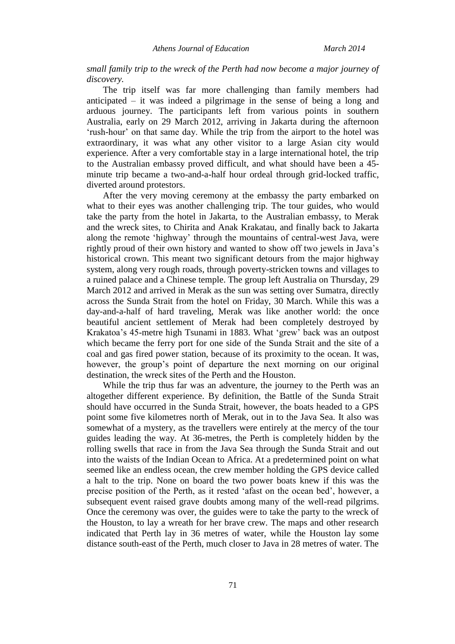*small family trip to the wreck of the Perth had now become a major journey of discovery.*

The trip itself was far more challenging than family members had anticipated – it was indeed a pilgrimage in the sense of being a long and arduous journey. The participants left from various points in southern Australia, early on 29 March 2012, arriving in Jakarta during the afternoon 'rush-hour' on that same day. While the trip from the airport to the hotel was extraordinary, it was what any other visitor to a large Asian city would experience. After a very comfortable stay in a large international hotel, the trip to the Australian embassy proved difficult, and what should have been a 45 minute trip became a two-and-a-half hour ordeal through grid-locked traffic, diverted around protestors.

After the very moving ceremony at the embassy the party embarked on what to their eyes was another challenging trip. The tour guides, who would take the party from the hotel in Jakarta, to the Australian embassy, to Merak and the wreck sites, to Chirita and Anak Krakatau, and finally back to Jakarta along the remote 'highway' through the mountains of central-west Java, were rightly proud of their own history and wanted to show off two jewels in Java's historical crown. This meant two significant detours from the major highway system, along very rough roads, through poverty-stricken towns and villages to a ruined palace and a Chinese temple. The group left Australia on Thursday, 29 March 2012 and arrived in Merak as the sun was setting over Sumatra, directly across the Sunda Strait from the hotel on Friday, 30 March. While this was a day-and-a-half of hard traveling, Merak was like another world: the once beautiful ancient settlement of Merak had been completely destroyed by Krakatoa's 45-metre high Tsunami in 1883. What 'grew' back was an outpost which became the ferry port for one side of the Sunda Strait and the site of a coal and gas fired power station, because of its proximity to the ocean. It was, however, the group's point of departure the next morning on our original destination, the wreck sites of the Perth and the Houston.

While the trip thus far was an adventure, the journey to the Perth was an altogether different experience. By definition, the Battle of the Sunda Strait should have occurred in the Sunda Strait, however, the boats headed to a GPS point some five kilometres north of Merak, out in to the Java Sea. It also was somewhat of a mystery, as the travellers were entirely at the mercy of the tour guides leading the way. At 36-metres, the Perth is completely hidden by the rolling swells that race in from the Java Sea through the Sunda Strait and out into the waists of the Indian Ocean to Africa. At a predetermined point on what seemed like an endless ocean, the crew member holding the GPS device called a halt to the trip. None on board the two power boats knew if this was the precise position of the Perth, as it rested 'afast on the ocean bed', however, a subsequent event raised grave doubts among many of the well-read pilgrims. Once the ceremony was over, the guides were to take the party to the wreck of the Houston, to lay a wreath for her brave crew. The maps and other research indicated that Perth lay in 36 metres of water, while the Houston lay some distance south-east of the Perth, much closer to Java in 28 metres of water. The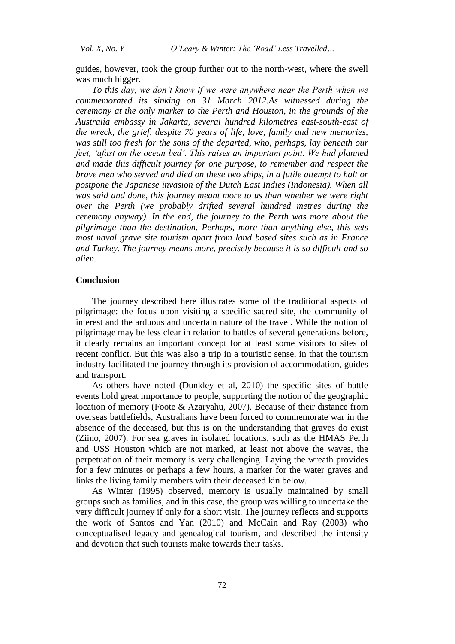*Vol. X, No. Y O'Leary & Winter: The 'Road' Less Travelled…*

guides, however, took the group further out to the north-west, where the swell was much bigger.

*To this day, we don't know if we were anywhere near the Perth when we commemorated its sinking on 31 March 2012.As witnessed during the ceremony at the only marker to the Perth and Houston, in the grounds of the Australia embassy in Jakarta, several hundred kilometres east-south-east of the wreck, the grief, despite 70 years of life, love, family and new memories, was still too fresh for the sons of the departed, who, perhaps, lay beneath our feet, 'afast on the ocean bed'. This raises an important point. We had planned and made this difficult journey for one purpose, to remember and respect the brave men who served and died on these two ships, in a futile attempt to halt or postpone the Japanese invasion of the Dutch East Indies (Indonesia). When all was said and done, this journey meant more to us than whether we were right over the Perth (we probably drifted several hundred metres during the ceremony anyway). In the end, the journey to the Perth was more about the pilgrimage than the destination. Perhaps, more than anything else, this sets most naval grave site tourism apart from land based sites such as in France and Turkey. The journey means more, precisely because it is so difficult and so alien.*

# **Conclusion**

The journey described here illustrates some of the traditional aspects of pilgrimage: the focus upon visiting a specific sacred site, the community of interest and the arduous and uncertain nature of the travel. While the notion of pilgrimage may be less clear in relation to battles of several generations before, it clearly remains an important concept for at least some visitors to sites of recent conflict. But this was also a trip in a touristic sense, in that the tourism industry facilitated the journey through its provision of accommodation, guides and transport.

As others have noted (Dunkley et al, 2010) the specific sites of battle events hold great importance to people, supporting the notion of the geographic location of memory (Foote & Azaryahu, 2007). Because of their distance from overseas battlefields, Australians have been forced to commemorate war in the absence of the deceased, but this is on the understanding that graves do exist (Ziino, 2007). For sea graves in isolated locations, such as the HMAS Perth and USS Houston which are not marked, at least not above the waves, the perpetuation of their memory is very challenging. Laying the wreath provides for a few minutes or perhaps a few hours, a marker for the water graves and links the living family members with their deceased kin below.

As Winter (1995) observed, memory is usually maintained by small groups such as families, and in this case, the group was willing to undertake the very difficult journey if only for a short visit. The journey reflects and supports the work of Santos and Yan (2010) and McCain and Ray (2003) who conceptualised legacy and genealogical tourism, and described the intensity and devotion that such tourists make towards their tasks.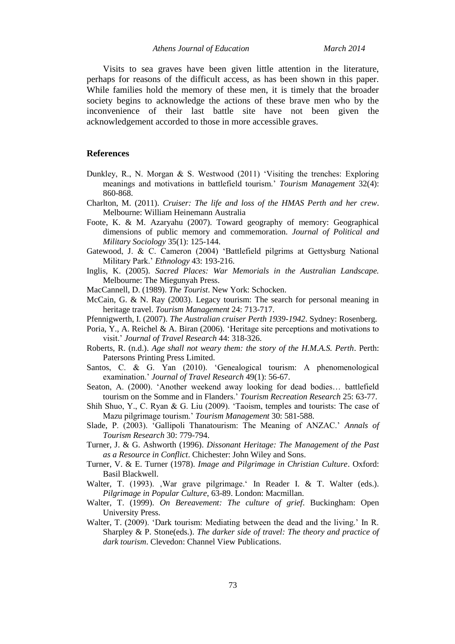*Athens Journal of Education March 2014*

Visits to sea graves have been given little attention in the literature, perhaps for reasons of the difficult access, as has been shown in this paper. While families hold the memory of these men, it is timely that the broader society begins to acknowledge the actions of these brave men who by the inconvenience of their last battle site have not been given the acknowledgement accorded to those in more accessible graves.

# **References**

- Dunkley, R., N. Morgan & S. Westwood (2011) 'Visiting the trenches: Exploring meanings and motivations in battlefield tourism.' *Tourism Management* 32(4): 860-868.
- Charlton, M. (2011). *Cruiser: The life and loss of the HMAS Perth and her crew*. Melbourne: William Heinemann Australia
- Foote, K. & M. Azaryahu (2007). Toward geography of memory: Geographical dimensions of public memory and commemoration. *Journal of Political and Military Sociology* 35(1): 125-144.
- Gatewood, J. & C. Cameron (2004) 'Battlefield pilgrims at Gettysburg National Military Park.' *Ethnology* 43: 193-216.
- Inglis, K. (2005). *Sacred Places: War Memorials in the Australian Landscape.* Melbourne: The Miegunyah Press.
- MacCannell, D. (1989). *The Tourist*. New York: Schocken.
- McCain, G. & N. Ray (2003). Legacy tourism: The search for personal meaning in heritage travel. *Tourism Management* 24: 713-717.
- Pfennigwerth, I. (2007). *The Australian cruiser Perth 1939-1942*. Sydney: Rosenberg.
- Poria, Y., A. Reichel & A. Biran (2006). 'Heritage site perceptions and motivations to visit.' *Journal of Travel Research* 44: 318-326.
- Roberts, R. (n.d.). *Age shall not weary them: the story of the H.M.A.S. Perth*. Perth: Patersons Printing Press Limited.
- Santos, C. & G. Yan (2010). 'Genealogical tourism: A phenomenological examination.' *Journal of Travel Research* 49(1): 56-67.
- Seaton, A. (2000). 'Another weekend away looking for dead bodies… battlefield tourism on the Somme and in Flanders.' *Tourism Recreation Research* 25: 63-77.
- Shih Shuo, Y., C. Ryan & G. Liu (2009). 'Taoism, temples and tourists: The case of Mazu pilgrimage tourism.' *Tourism Management* 30: 581-588.
- Slade, P. (2003). 'Gallipoli Thanatourism: The Meaning of ANZAC.' *Annals of Tourism Research* 30: 779-794.
- Turner, J. & G. Ashworth (1996). *Dissonant Heritage: The Management of the Past as a Resource in Conflict*. Chichester: John Wiley and Sons.
- Turner, V. & E. Turner (1978). *Image and Pilgrimage in Christian Culture*. Oxford: Basil Blackwell.
- Walter, T. (1993). War grave pilgrimage. In Reader I. & T. Walter (eds.). *Pilgrimage in Popular Culture*, 63-89. London: Macmillan.
- Walter, T. (1999). *On Bereavement: The culture of grief*. Buckingham: Open University Press.
- Walter, T. (2009). 'Dark tourism: Mediating between the dead and the living.' In R. Sharpley & P. Stone(eds.). *The darker side of travel: The theory and practice of dark tourism*. Clevedon: Channel View Publications.